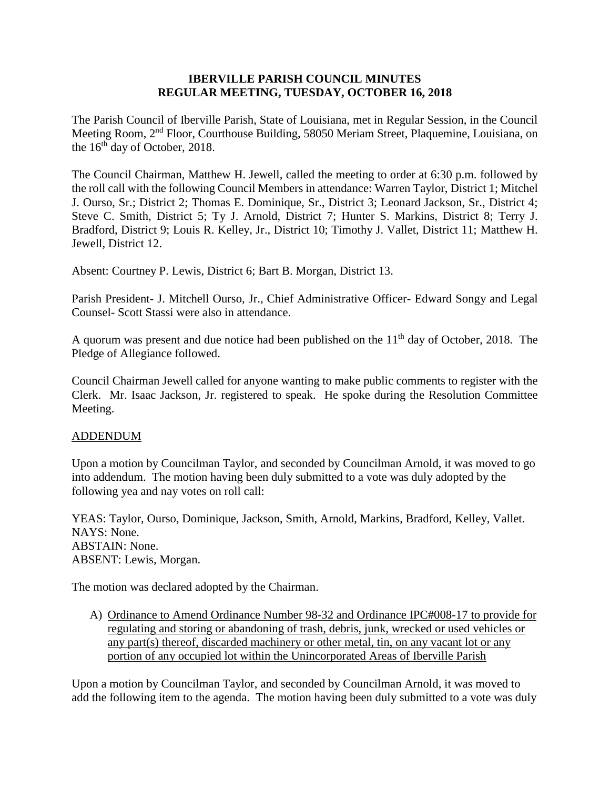#### **IBERVILLE PARISH COUNCIL MINUTES REGULAR MEETING, TUESDAY, OCTOBER 16, 2018**

The Parish Council of Iberville Parish, State of Louisiana, met in Regular Session, in the Council Meeting Room, 2nd Floor, Courthouse Building, 58050 Meriam Street, Plaquemine, Louisiana, on the  $16<sup>th</sup>$  day of October, 2018.

The Council Chairman, Matthew H. Jewell, called the meeting to order at 6:30 p.m. followed by the roll call with the following Council Members in attendance: Warren Taylor, District 1; Mitchel J. Ourso, Sr.; District 2; Thomas E. Dominique, Sr., District 3; Leonard Jackson, Sr., District 4; Steve C. Smith, District 5; Ty J. Arnold, District 7; Hunter S. Markins, District 8; Terry J. Bradford, District 9; Louis R. Kelley, Jr., District 10; Timothy J. Vallet, District 11; Matthew H. Jewell, District 12.

Absent: Courtney P. Lewis, District 6; Bart B. Morgan, District 13.

Parish President- J. Mitchell Ourso, Jr., Chief Administrative Officer- Edward Songy and Legal Counsel- Scott Stassi were also in attendance.

A quorum was present and due notice had been published on the  $11<sup>th</sup>$  day of October, 2018. The Pledge of Allegiance followed.

Council Chairman Jewell called for anyone wanting to make public comments to register with the Clerk. Mr. Isaac Jackson, Jr. registered to speak. He spoke during the Resolution Committee Meeting.

#### ADDENDUM

Upon a motion by Councilman Taylor, and seconded by Councilman Arnold, it was moved to go into addendum. The motion having been duly submitted to a vote was duly adopted by the following yea and nay votes on roll call:

YEAS: Taylor, Ourso, Dominique, Jackson, Smith, Arnold, Markins, Bradford, Kelley, Vallet. NAYS: None. ABSTAIN: None. ABSENT: Lewis, Morgan.

The motion was declared adopted by the Chairman.

A) Ordinance to Amend Ordinance Number 98-32 and Ordinance IPC#008-17 to provide for regulating and storing or abandoning of trash, debris, junk, wrecked or used vehicles or any part(s) thereof, discarded machinery or other metal, tin, on any vacant lot or any portion of any occupied lot within the Unincorporated Areas of Iberville Parish

Upon a motion by Councilman Taylor, and seconded by Councilman Arnold, it was moved to add the following item to the agenda. The motion having been duly submitted to a vote was duly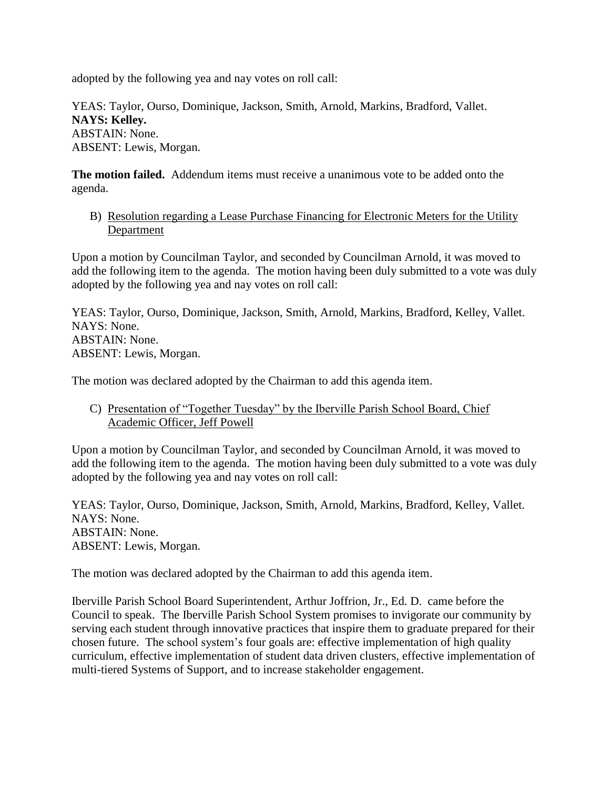adopted by the following yea and nay votes on roll call:

YEAS: Taylor, Ourso, Dominique, Jackson, Smith, Arnold, Markins, Bradford, Vallet. **NAYS: Kelley.** ABSTAIN: None. ABSENT: Lewis, Morgan.

**The motion failed.** Addendum items must receive a unanimous vote to be added onto the agenda.

B) Resolution regarding a Lease Purchase Financing for Electronic Meters for the Utility **Department** 

Upon a motion by Councilman Taylor, and seconded by Councilman Arnold, it was moved to add the following item to the agenda. The motion having been duly submitted to a vote was duly adopted by the following yea and nay votes on roll call:

YEAS: Taylor, Ourso, Dominique, Jackson, Smith, Arnold, Markins, Bradford, Kelley, Vallet. NAYS: None. ABSTAIN: None. ABSENT: Lewis, Morgan.

The motion was declared adopted by the Chairman to add this agenda item.

### C) Presentation of "Together Tuesday" by the Iberville Parish School Board, Chief Academic Officer, Jeff Powell

Upon a motion by Councilman Taylor, and seconded by Councilman Arnold, it was moved to add the following item to the agenda. The motion having been duly submitted to a vote was duly adopted by the following yea and nay votes on roll call:

YEAS: Taylor, Ourso, Dominique, Jackson, Smith, Arnold, Markins, Bradford, Kelley, Vallet. NAYS: None. ABSTAIN: None. ABSENT: Lewis, Morgan.

The motion was declared adopted by the Chairman to add this agenda item.

Iberville Parish School Board Superintendent, Arthur Joffrion, Jr., Ed. D. came before the Council to speak. The Iberville Parish School System promises to invigorate our community by serving each student through innovative practices that inspire them to graduate prepared for their chosen future. The school system's four goals are: effective implementation of high quality curriculum, effective implementation of student data driven clusters, effective implementation of multi-tiered Systems of Support, and to increase stakeholder engagement.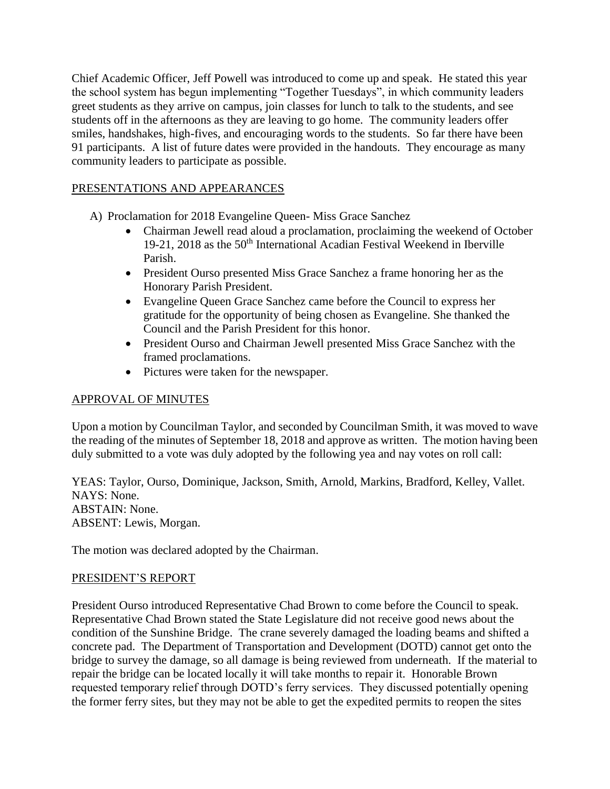Chief Academic Officer, Jeff Powell was introduced to come up and speak. He stated this year the school system has begun implementing "Together Tuesdays", in which community leaders greet students as they arrive on campus, join classes for lunch to talk to the students, and see students off in the afternoons as they are leaving to go home. The community leaders offer smiles, handshakes, high-fives, and encouraging words to the students. So far there have been 91 participants. A list of future dates were provided in the handouts. They encourage as many community leaders to participate as possible.

# PRESENTATIONS AND APPEARANCES

- A) Proclamation for 2018 Evangeline Queen- Miss Grace Sanchez
	- Chairman Jewell read aloud a proclamation, proclaiming the weekend of October 19-21, 2018 as the 50th International Acadian Festival Weekend in Iberville Parish.
	- President Ourso presented Miss Grace Sanchez a frame honoring her as the Honorary Parish President.
	- Evangeline Queen Grace Sanchez came before the Council to express her gratitude for the opportunity of being chosen as Evangeline. She thanked the Council and the Parish President for this honor.
	- President Ourso and Chairman Jewell presented Miss Grace Sanchez with the framed proclamations.
	- Pictures were taken for the newspaper.

# APPROVAL OF MINUTES

Upon a motion by Councilman Taylor, and seconded by Councilman Smith, it was moved to wave the reading of the minutes of September 18, 2018 and approve as written. The motion having been duly submitted to a vote was duly adopted by the following yea and nay votes on roll call:

YEAS: Taylor, Ourso, Dominique, Jackson, Smith, Arnold, Markins, Bradford, Kelley, Vallet. NAYS: None. ABSTAIN: None. ABSENT: Lewis, Morgan.

The motion was declared adopted by the Chairman.

# PRESIDENT'S REPORT

President Ourso introduced Representative Chad Brown to come before the Council to speak. Representative Chad Brown stated the State Legislature did not receive good news about the condition of the Sunshine Bridge. The crane severely damaged the loading beams and shifted a concrete pad. The Department of Transportation and Development (DOTD) cannot get onto the bridge to survey the damage, so all damage is being reviewed from underneath. If the material to repair the bridge can be located locally it will take months to repair it. Honorable Brown requested temporary relief through DOTD's ferry services. They discussed potentially opening the former ferry sites, but they may not be able to get the expedited permits to reopen the sites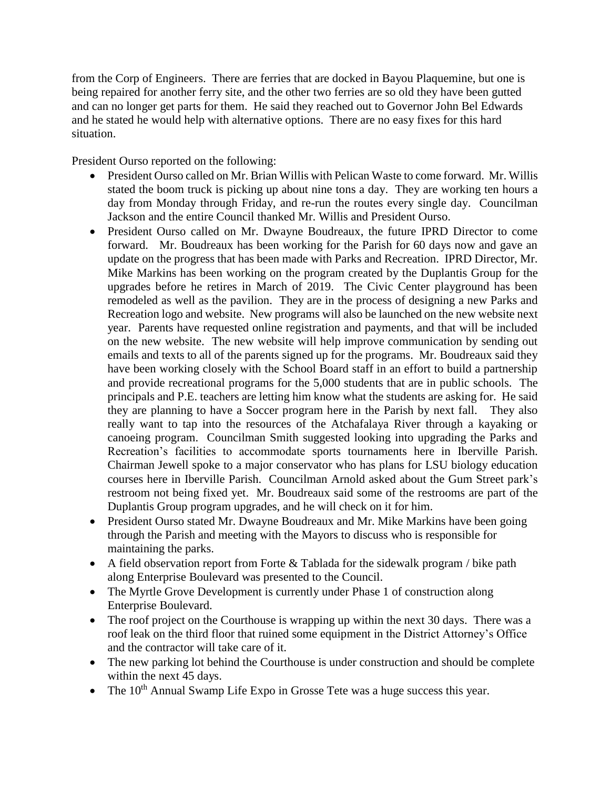from the Corp of Engineers. There are ferries that are docked in Bayou Plaquemine, but one is being repaired for another ferry site, and the other two ferries are so old they have been gutted and can no longer get parts for them. He said they reached out to Governor John Bel Edwards and he stated he would help with alternative options. There are no easy fixes for this hard situation.

President Ourso reported on the following:

- President Ourso called on Mr. Brian Willis with Pelican Waste to come forward. Mr. Willis stated the boom truck is picking up about nine tons a day. They are working ten hours a day from Monday through Friday, and re-run the routes every single day. Councilman Jackson and the entire Council thanked Mr. Willis and President Ourso.
- President Ourso called on Mr. Dwayne Boudreaux, the future IPRD Director to come forward. Mr. Boudreaux has been working for the Parish for 60 days now and gave an update on the progress that has been made with Parks and Recreation. IPRD Director, Mr. Mike Markins has been working on the program created by the Duplantis Group for the upgrades before he retires in March of 2019. The Civic Center playground has been remodeled as well as the pavilion. They are in the process of designing a new Parks and Recreation logo and website. New programs will also be launched on the new website next year. Parents have requested online registration and payments, and that will be included on the new website. The new website will help improve communication by sending out emails and texts to all of the parents signed up for the programs. Mr. Boudreaux said they have been working closely with the School Board staff in an effort to build a partnership and provide recreational programs for the 5,000 students that are in public schools. The principals and P.E. teachers are letting him know what the students are asking for. He said they are planning to have a Soccer program here in the Parish by next fall. They also really want to tap into the resources of the Atchafalaya River through a kayaking or canoeing program. Councilman Smith suggested looking into upgrading the Parks and Recreation's facilities to accommodate sports tournaments here in Iberville Parish. Chairman Jewell spoke to a major conservator who has plans for LSU biology education courses here in Iberville Parish. Councilman Arnold asked about the Gum Street park's restroom not being fixed yet. Mr. Boudreaux said some of the restrooms are part of the Duplantis Group program upgrades, and he will check on it for him.
- President Ourso stated Mr. Dwayne Boudreaux and Mr. Mike Markins have been going through the Parish and meeting with the Mayors to discuss who is responsible for maintaining the parks.
- A field observation report from Forte  $&$  Tablada for the sidewalk program / bike path along Enterprise Boulevard was presented to the Council.
- The Myrtle Grove Development is currently under Phase 1 of construction along Enterprise Boulevard.
- The roof project on the Courthouse is wrapping up within the next 30 days. There was a roof leak on the third floor that ruined some equipment in the District Attorney's Office and the contractor will take care of it.
- The new parking lot behind the Courthouse is under construction and should be complete within the next 45 days.
- The  $10<sup>th</sup>$  Annual Swamp Life Expo in Grosse Tete was a huge success this year.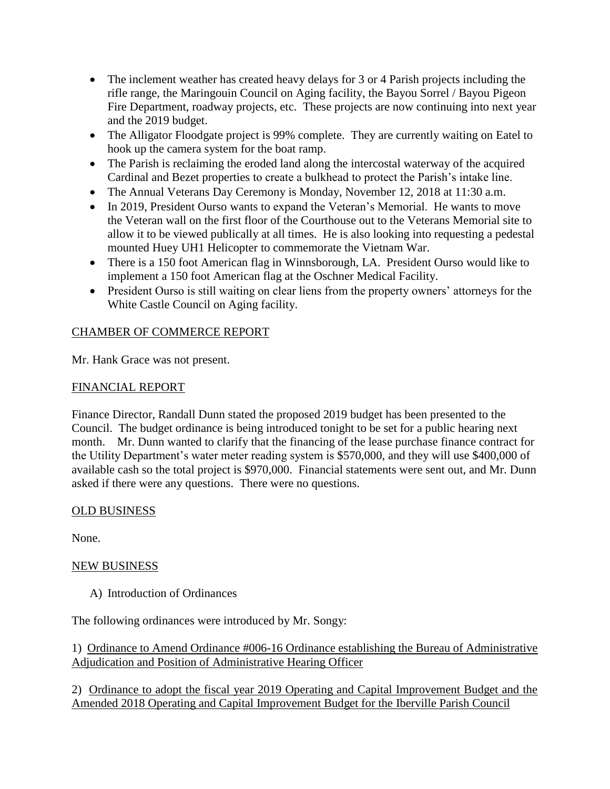- The inclement weather has created heavy delays for 3 or 4 Parish projects including the rifle range, the Maringouin Council on Aging facility, the Bayou Sorrel / Bayou Pigeon Fire Department, roadway projects, etc. These projects are now continuing into next year and the 2019 budget.
- The Alligator Floodgate project is 99% complete. They are currently waiting on Eatel to hook up the camera system for the boat ramp.
- The Parish is reclaiming the eroded land along the intercostal waterway of the acquired Cardinal and Bezet properties to create a bulkhead to protect the Parish's intake line.
- The Annual Veterans Day Ceremony is Monday, November 12, 2018 at 11:30 a.m.
- In 2019, President Ourso wants to expand the Veteran's Memorial. He wants to move the Veteran wall on the first floor of the Courthouse out to the Veterans Memorial site to allow it to be viewed publically at all times. He is also looking into requesting a pedestal mounted Huey UH1 Helicopter to commemorate the Vietnam War.
- There is a 150 foot American flag in Winnsborough, LA. President Ourso would like to implement a 150 foot American flag at the Oschner Medical Facility.
- President Ourso is still waiting on clear liens from the property owners' attorneys for the White Castle Council on Aging facility.

# CHAMBER OF COMMERCE REPORT

Mr. Hank Grace was not present.

# FINANCIAL REPORT

Finance Director, Randall Dunn stated the proposed 2019 budget has been presented to the Council. The budget ordinance is being introduced tonight to be set for a public hearing next month. Mr. Dunn wanted to clarify that the financing of the lease purchase finance contract for the Utility Department's water meter reading system is \$570,000, and they will use \$400,000 of available cash so the total project is \$970,000. Financial statements were sent out, and Mr. Dunn asked if there were any questions. There were no questions.

# OLD BUSINESS

None.

# NEW BUSINESS

A) Introduction of Ordinances

The following ordinances were introduced by Mr. Songy:

1) Ordinance to Amend Ordinance #006-16 Ordinance establishing the Bureau of Administrative Adjudication and Position of Administrative Hearing Officer

2) Ordinance to adopt the fiscal year 2019 Operating and Capital Improvement Budget and the Amended 2018 Operating and Capital Improvement Budget for the Iberville Parish Council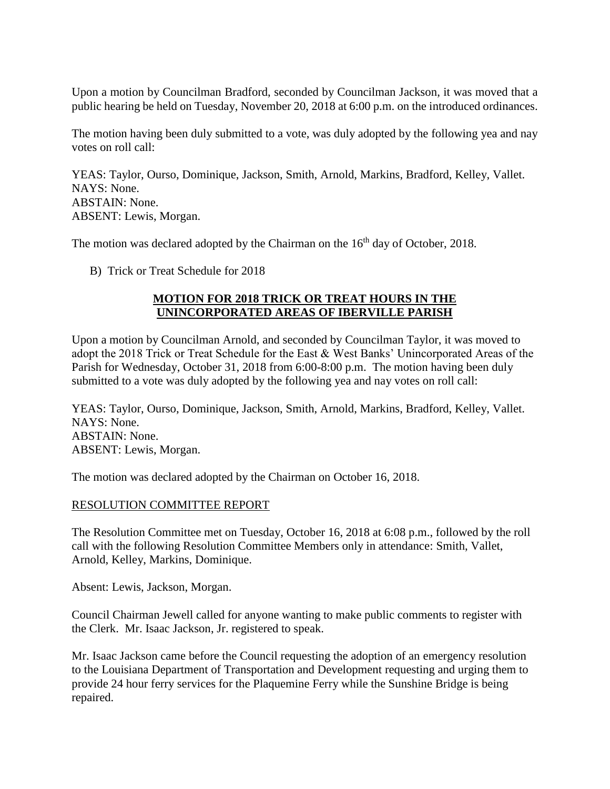Upon a motion by Councilman Bradford, seconded by Councilman Jackson, it was moved that a public hearing be held on Tuesday, November 20, 2018 at 6:00 p.m. on the introduced ordinances.

The motion having been duly submitted to a vote, was duly adopted by the following yea and nay votes on roll call:

YEAS: Taylor, Ourso, Dominique, Jackson, Smith, Arnold, Markins, Bradford, Kelley, Vallet. NAYS: None. ABSTAIN: None. ABSENT: Lewis, Morgan.

The motion was declared adopted by the Chairman on the  $16<sup>th</sup>$  day of October, 2018.

B) Trick or Treat Schedule for 2018

#### **MOTION FOR 2018 TRICK OR TREAT HOURS IN THE UNINCORPORATED AREAS OF IBERVILLE PARISH**

Upon a motion by Councilman Arnold, and seconded by Councilman Taylor, it was moved to adopt the 2018 Trick or Treat Schedule for the East & West Banks' Unincorporated Areas of the Parish for Wednesday, October 31, 2018 from 6:00-8:00 p.m. The motion having been duly submitted to a vote was duly adopted by the following yea and nay votes on roll call:

YEAS: Taylor, Ourso, Dominique, Jackson, Smith, Arnold, Markins, Bradford, Kelley, Vallet. NAYS: None. ABSTAIN: None. ABSENT: Lewis, Morgan.

The motion was declared adopted by the Chairman on October 16, 2018.

#### RESOLUTION COMMITTEE REPORT

The Resolution Committee met on Tuesday, October 16, 2018 at 6:08 p.m., followed by the roll call with the following Resolution Committee Members only in attendance: Smith, Vallet, Arnold, Kelley, Markins, Dominique.

Absent: Lewis, Jackson, Morgan.

Council Chairman Jewell called for anyone wanting to make public comments to register with the Clerk. Mr. Isaac Jackson, Jr. registered to speak.

Mr. Isaac Jackson came before the Council requesting the adoption of an emergency resolution to the Louisiana Department of Transportation and Development requesting and urging them to provide 24 hour ferry services for the Plaquemine Ferry while the Sunshine Bridge is being repaired.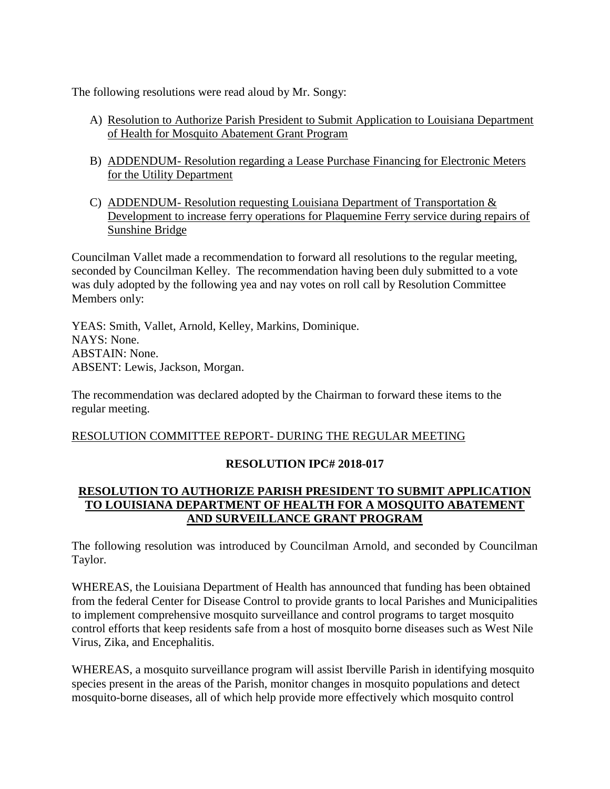The following resolutions were read aloud by Mr. Songy:

- A) Resolution to Authorize Parish President to Submit Application to Louisiana Department of Health for Mosquito Abatement Grant Program
- B) ADDENDUM- Resolution regarding a Lease Purchase Financing for Electronic Meters for the Utility Department
- C) ADDENDUM-Resolution requesting Louisiana Department of Transportation  $\&$ Development to increase ferry operations for Plaquemine Ferry service during repairs of Sunshine Bridge

Councilman Vallet made a recommendation to forward all resolutions to the regular meeting, seconded by Councilman Kelley. The recommendation having been duly submitted to a vote was duly adopted by the following yea and nay votes on roll call by Resolution Committee Members only:

YEAS: Smith, Vallet, Arnold, Kelley, Markins, Dominique. NAYS: None. ABSTAIN: None. ABSENT: Lewis, Jackson, Morgan.

The recommendation was declared adopted by the Chairman to forward these items to the regular meeting.

# RESOLUTION COMMITTEE REPORT- DURING THE REGULAR MEETING

# **RESOLUTION IPC# 2018-017**

# **RESOLUTION TO AUTHORIZE PARISH PRESIDENT TO SUBMIT APPLICATION TO LOUISIANA DEPARTMENT OF HEALTH FOR A MOSQUITO ABATEMENT AND SURVEILLANCE GRANT PROGRAM**

The following resolution was introduced by Councilman Arnold, and seconded by Councilman Taylor.

WHEREAS, the Louisiana Department of Health has announced that funding has been obtained from the federal Center for Disease Control to provide grants to local Parishes and Municipalities to implement comprehensive mosquito surveillance and control programs to target mosquito control efforts that keep residents safe from a host of mosquito borne diseases such as West Nile Virus, Zika, and Encephalitis.

WHEREAS, a mosquito surveillance program will assist Iberville Parish in identifying mosquito species present in the areas of the Parish, monitor changes in mosquito populations and detect mosquito-borne diseases, all of which help provide more effectively which mosquito control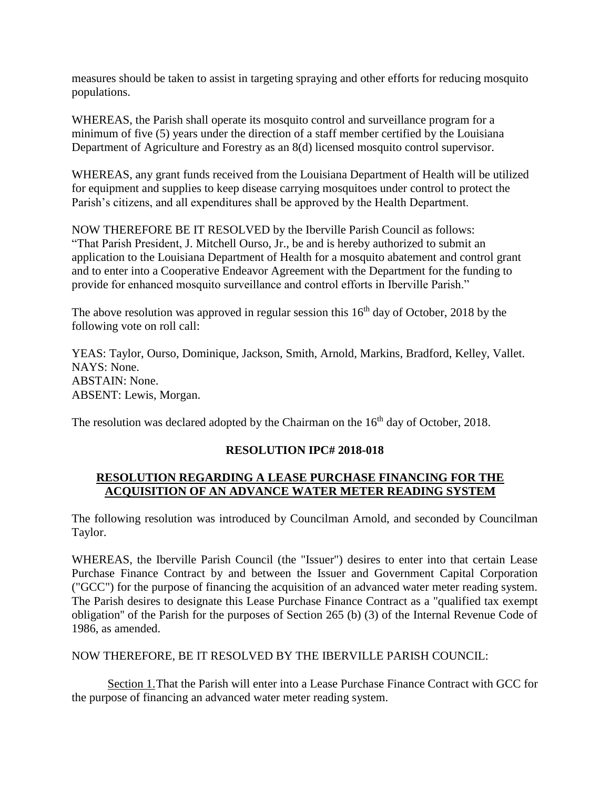measures should be taken to assist in targeting spraying and other efforts for reducing mosquito populations.

WHEREAS, the Parish shall operate its mosquito control and surveillance program for a minimum of five (5) years under the direction of a staff member certified by the Louisiana Department of Agriculture and Forestry as an 8(d) licensed mosquito control supervisor.

WHEREAS, any grant funds received from the Louisiana Department of Health will be utilized for equipment and supplies to keep disease carrying mosquitoes under control to protect the Parish's citizens, and all expenditures shall be approved by the Health Department.

NOW THEREFORE BE IT RESOLVED by the Iberville Parish Council as follows: "That Parish President, J. Mitchell Ourso, Jr., be and is hereby authorized to submit an application to the Louisiana Department of Health for a mosquito abatement and control grant and to enter into a Cooperative Endeavor Agreement with the Department for the funding to provide for enhanced mosquito surveillance and control efforts in Iberville Parish."

The above resolution was approved in regular session this  $16<sup>th</sup>$  day of October, 2018 by the following vote on roll call:

YEAS: Taylor, Ourso, Dominique, Jackson, Smith, Arnold, Markins, Bradford, Kelley, Vallet. NAYS: None. ABSTAIN: None. ABSENT: Lewis, Morgan.

The resolution was declared adopted by the Chairman on the  $16<sup>th</sup>$  day of October, 2018.

# **RESOLUTION IPC# 2018-018**

# **RESOLUTION REGARDING A LEASE PURCHASE FINANCING FOR THE ACQUISITION OF AN ADVANCE WATER METER READING SYSTEM**

The following resolution was introduced by Councilman Arnold, and seconded by Councilman Taylor.

WHEREAS, the Iberville Parish Council (the "Issuer") desires to enter into that certain Lease Purchase Finance Contract by and between the Issuer and Government Capital Corporation ("GCC") for the purpose of financing the acquisition of an advanced water meter reading system. The Parish desires to designate this Lease Purchase Finance Contract as a "qualified tax exempt obligation'' of the Parish for the purposes of Section 265 (b) (3) of the Internal Revenue Code of 1986, as amended.

NOW THEREFORE, BE IT RESOLVED BY THE IBERVILLE PARISH COUNCIL:

Section 1.That the Parish will enter into a Lease Purchase Finance Contract with GCC for the purpose of financing an advanced water meter reading system.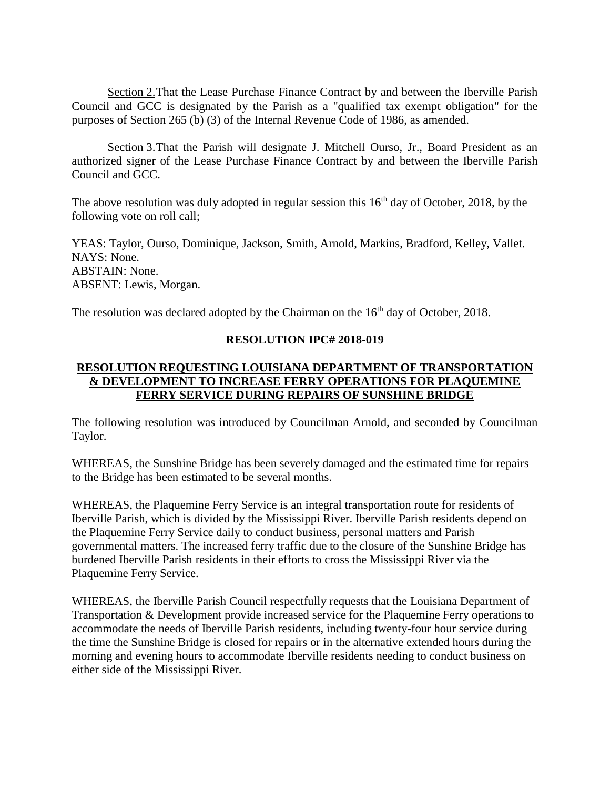Section 2. That the Lease Purchase Finance Contract by and between the Iberville Parish Council and GCC is designated by the Parish as a "qualified tax exempt obligation" for the purposes of Section 265 (b) (3) of the Internal Revenue Code of 1986, as amended.

Section 3.That the Parish will designate J. Mitchell Ourso, Jr., Board President as an authorized signer of the Lease Purchase Finance Contract by and between the Iberville Parish Council and GCC.

The above resolution was duly adopted in regular session this  $16<sup>th</sup>$  day of October, 2018, by the following vote on roll call;

YEAS: Taylor, Ourso, Dominique, Jackson, Smith, Arnold, Markins, Bradford, Kelley, Vallet. NAYS: None. ABSTAIN: None. ABSENT: Lewis, Morgan.

The resolution was declared adopted by the Chairman on the  $16<sup>th</sup>$  day of October, 2018.

### **RESOLUTION IPC# 2018-019**

# **RESOLUTION REQUESTING LOUISIANA DEPARTMENT OF TRANSPORTATION & DEVELOPMENT TO INCREASE FERRY OPERATIONS FOR PLAQUEMINE FERRY SERVICE DURING REPAIRS OF SUNSHINE BRIDGE**

The following resolution was introduced by Councilman Arnold, and seconded by Councilman Taylor.

WHEREAS, the Sunshine Bridge has been severely damaged and the estimated time for repairs to the Bridge has been estimated to be several months.

WHEREAS, the Plaquemine Ferry Service is an integral transportation route for residents of Iberville Parish, which is divided by the Mississippi River. Iberville Parish residents depend on the Plaquemine Ferry Service daily to conduct business, personal matters and Parish governmental matters. The increased ferry traffic due to the closure of the Sunshine Bridge has burdened Iberville Parish residents in their efforts to cross the Mississippi River via the Plaquemine Ferry Service.

WHEREAS, the Iberville Parish Council respectfully requests that the Louisiana Department of Transportation & Development provide increased service for the Plaquemine Ferry operations to accommodate the needs of Iberville Parish residents, including twenty-four hour service during the time the Sunshine Bridge is closed for repairs or in the alternative extended hours during the morning and evening hours to accommodate Iberville residents needing to conduct business on either side of the Mississippi River.